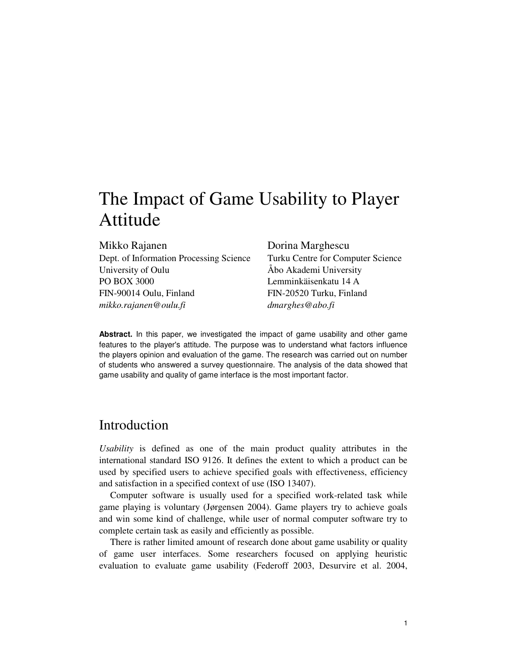# The Impact of Game Usability to Player Attitude

Mikko Rajanen Dorina Marghescu Dept. of Information Processing Science Turku Centre for Computer Science University of Oulu Åbo Akademi University PO BOX 3000 Lemminkäisenkatu 14 A FIN-90014 Oulu, Finland FIN-20520 Turku, Finland *mikko.rajanen@oulu.fi dmarghes@abo.fi*

**Abstract.** In this paper, we investigated the impact of game usability and other game features to the player's attitude. The purpose was to understand what factors influence the players opinion and evaluation of the game. The research was carried out on number of students who answered a survey questionnaire. The analysis of the data showed that game usability and quality of game interface is the most important factor.

## Introduction

*Usability* is defined as one of the main product quality attributes in the international standard ISO 9126. It defines the extent to which a product can be used by specified users to achieve specified goals with effectiveness, efficiency and satisfaction in a specified context of use (ISO 13407).

Computer software is usually used for a specified work-related task while game playing is voluntary (Jørgensen 2004). Game players try to achieve goals and win some kind of challenge, while user of normal computer software try to complete certain task as easily and efficiently as possible.

There is rather limited amount of research done about game usability or quality of game user interfaces. Some researchers focused on applying heuristic evaluation to evaluate game usability (Federoff 2003, Desurvire et al. 2004,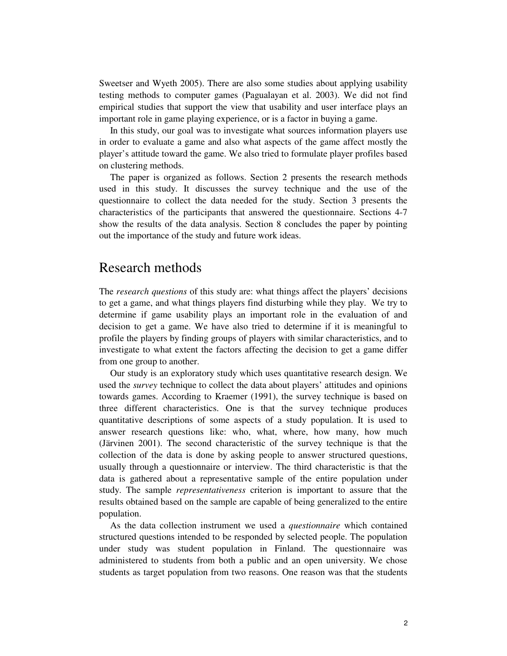Sweetser and Wyeth 2005). There are also some studies about applying usability testing methods to computer games (Pagualayan et al. 2003). We did not find empirical studies that support the view that usability and user interface plays an important role in game playing experience, or is a factor in buying a game.

In this study, our goal was to investigate what sources information players use in order to evaluate a game and also what aspects of the game affect mostly the player's attitude toward the game. We also tried to formulate player profiles based on clustering methods.

The paper is organized as follows. Section 2 presents the research methods used in this study. It discusses the survey technique and the use of the questionnaire to collect the data needed for the study. Section 3 presents the characteristics of the participants that answered the questionnaire. Sections 4-7 show the results of the data analysis. Section 8 concludes the paper by pointing out the importance of the study and future work ideas.

### Research methods

The *research questions* of this study are: what things affect the players' decisions to get a game, and what things players find disturbing while they play. We try to determine if game usability plays an important role in the evaluation of and decision to get a game. We have also tried to determine if it is meaningful to profile the players by finding groups of players with similar characteristics, and to investigate to what extent the factors affecting the decision to get a game differ from one group to another.

Our study is an exploratory study which uses quantitative research design. We used the *survey* technique to collect the data about players' attitudes and opinions towards games. According to Kraemer (1991), the survey technique is based on three different characteristics. One is that the survey technique produces quantitative descriptions of some aspects of a study population. It is used to answer research questions like: who, what, where, how many, how much (Järvinen 2001). The second characteristic of the survey technique is that the collection of the data is done by asking people to answer structured questions, usually through a questionnaire or interview. The third characteristic is that the data is gathered about a representative sample of the entire population under study. The sample *representativeness* criterion is important to assure that the results obtained based on the sample are capable of being generalized to the entire population.

As the data collection instrument we used a *questionnaire* which contained structured questions intended to be responded by selected people. The population under study was student population in Finland. The questionnaire was administered to students from both a public and an open university. We chose students as target population from two reasons. One reason was that the students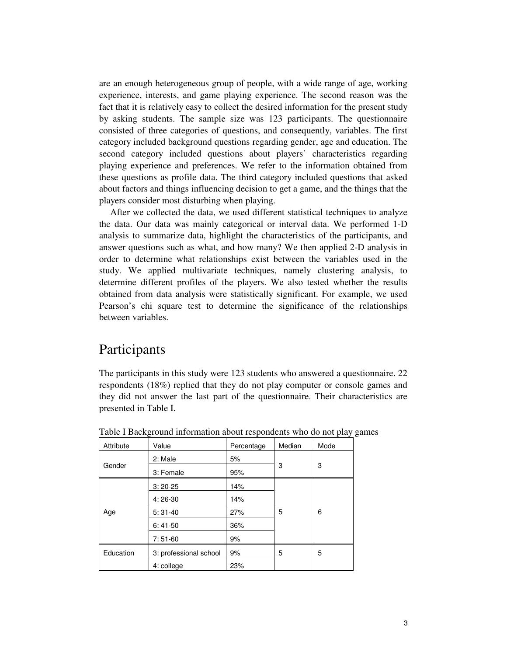are an enough heterogeneous group of people, with a wide range of age, working experience, interests, and game playing experience. The second reason was the fact that it is relatively easy to collect the desired information for the present study by asking students. The sample size was 123 participants. The questionnaire consisted of three categories of questions, and consequently, variables. The first category included background questions regarding gender, age and education. The second category included questions about players' characteristics regarding playing experience and preferences. We refer to the information obtained from these questions as profile data. The third category included questions that asked about factors and things influencing decision to get a game, and the things that the players consider most disturbing when playing.

After we collected the data, we used different statistical techniques to analyze the data. Our data was mainly categorical or interval data. We performed 1-D analysis to summarize data, highlight the characteristics of the participants, and answer questions such as what, and how many? We then applied 2-D analysis in order to determine what relationships exist between the variables used in the study. We applied multivariate techniques, namely clustering analysis, to determine different profiles of the players. We also tested whether the results obtained from data analysis were statistically significant. For example, we used Pearson's chi square test to determine the significance of the relationships between variables.

### Participants

The participants in this study were 123 students who answered a questionnaire. 22 respondents (18%) replied that they do not play computer or console games and they did not answer the last part of the questionnaire. Their characteristics are presented in Table I.

| Attribute | Value                  | Percentage | Median | Mode |
|-----------|------------------------|------------|--------|------|
|           | 2: Male                | 5%         | 3      |      |
| Gender    | 3: Female              | 95%        |        | 3    |
|           | $3:20-25$              | 14%        |        |      |
|           | $4:26-30$              | 14%        |        |      |
| Age       | $5:31-40$              | 27%        | 5      | 6    |
|           | $6:41-50$              | 36%        |        |      |
|           | $7:51-60$              | 9%         |        |      |
| Education | 3: professional school | 9%         | 5      | 5    |
|           | 4: college             | 23%        |        |      |

Table I Background information about respondents who do not play games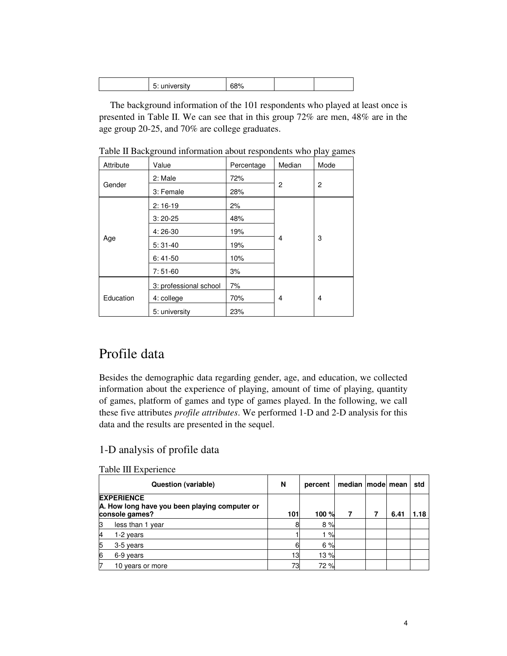The background information of the 101 respondents who played at least once is presented in Table II. We can see that in this group 72% are men, 48% are in the age group 20-25, and 70% are college graduates.

| Attribute | Value                  | Percentage | Median | Mode           |
|-----------|------------------------|------------|--------|----------------|
|           | 2: Male                | 72%        |        |                |
| Gender    | 3: Female<br>28%       |            | 2      | $\overline{c}$ |
|           | $2:16-19$              | 2%         |        |                |
|           | $3:20-25$              | 48%        |        |                |
|           | $4:26-30$              | 19%        |        |                |
| Age       | $5:31-40$              | 19%        | 4      | 3              |
|           | $6:41-50$              | 10%        |        |                |
| $7:51-60$ |                        | 3%         |        |                |
|           | 3: professional school | 7%         |        |                |
| Education | 4: college             | 70%        | 4      | 4              |
|           | 5: university          | 23%        |        |                |

Table II Background information about respondents who play games

## Profile data

Besides the demographic data regarding gender, age, and education, we collected information about the experience of playing, amount of time of playing, quantity of games, platform of games and type of games played. In the following, we call these five attributes *profile attributes*. We performed 1-D and 2-D analysis for this data and the results are presented in the sequel.

### 1-D analysis of profile data

|  | Table III Experience |  |
|--|----------------------|--|
|--|----------------------|--|

|    | <b>Question (variable)</b>                                                           | N   | percent | median   mode   mean |      | std |
|----|--------------------------------------------------------------------------------------|-----|---------|----------------------|------|-----|
|    | <b>EXPERIENCE</b><br>A. How long have you been playing computer or<br>console games? | 101 | 100 %   |                      | 6.41 | .18 |
| IЗ | less than 1 year                                                                     |     | 8%      |                      |      |     |
| 4  | 1-2 years                                                                            |     | $\%$    |                      |      |     |
| 5  | 3-5 years                                                                            |     | 6%      |                      |      |     |
| 6  | 6-9 years                                                                            | 13  | 13%     |                      |      |     |
|    | 10 years or more                                                                     | 73  | 72%     |                      |      |     |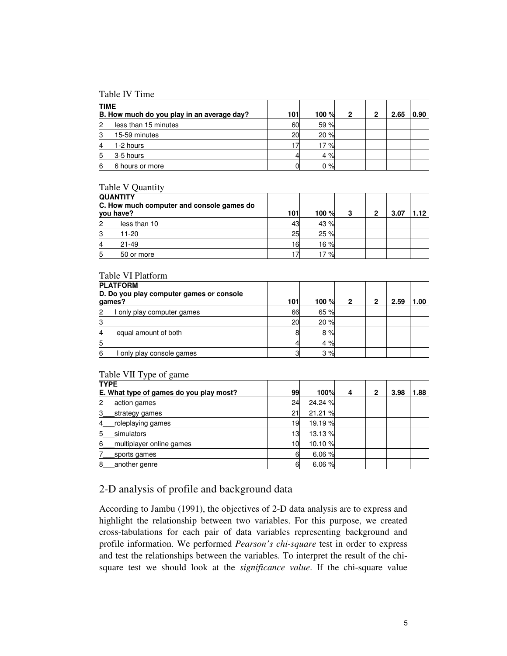Table IV Time

| <b>TIME</b> | B. How much do you play in an average day? | 101 | 100 % | $\overline{2}$ | 2 | 2.65 | 0.90 |
|-------------|--------------------------------------------|-----|-------|----------------|---|------|------|
| 2           | less than 15 minutes                       | 60  | 59 %  |                |   |      |      |
| 3           | 15-59 minutes                              | 20  | 20%   |                |   |      |      |
| 14          | 1-2 hours                                  |     | 17%   |                |   |      |      |
| 5           | 3-5 hours                                  |     | 4%    |                |   |      |      |
| 6           | 6 hours or more                            |     | 0%    |                |   |      |      |

#### Table V Quantity

|    | <b>QUANTITY</b><br>C. How much computer and console games do<br>vou have? | 101 | 100 %               | 3 | 2 | 3.07 | 1.12 |
|----|---------------------------------------------------------------------------|-----|---------------------|---|---|------|------|
| 12 | less than 10                                                              | 43  | 43 %                |   |   |      |      |
| k3 | 11-20                                                                     | 25  | 25%                 |   |   |      |      |
| 14 | $21 - 49$                                                                 | 16  | 16%                 |   |   |      |      |
| 5  | 50 or more                                                                |     | 17<br>$\frac{O}{C}$ |   |   |      |      |

#### Table VI Platform

|   | <b>PLATFORM</b><br>D. Do you play computer games or console<br>games? | 101 | 100 % | 2 | 2 | 2.59 | 1.00 |
|---|-----------------------------------------------------------------------|-----|-------|---|---|------|------|
| 2 | only play computer games                                              | 66  | 65%   |   |   |      |      |
| З |                                                                       | 20  | 20%   |   |   |      |      |
| 4 | equal amount of both                                                  |     | 8%    |   |   |      |      |
| 5 |                                                                       |     | 4%    |   |   |      |      |
| 6 | I only play console games                                             |     | 3%    |   |   |      |      |

#### Table VII Type of game

| <b>TYPE</b>                             |    |         |   |   |      |      |
|-----------------------------------------|----|---------|---|---|------|------|
| E. What type of games do you play most? | 99 | 100%    | 4 | 2 | 3.98 | 1.88 |
| action games                            | 24 | 24.24 % |   |   |      |      |
| strategy games                          | 21 | 21.21 % |   |   |      |      |
| roleplaying games                       | 19 | 19.19%  |   |   |      |      |
| simulators                              | 13 | 13.13%  |   |   |      |      |
| multiplayer online games                | 10 | 10.10 % |   |   |      |      |
| sports games                            |    | 6.06%   |   |   |      |      |
| 8<br>another genre                      |    | 6.06%   |   |   |      |      |

#### 2-D analysis of profile and background data

According to Jambu (1991), the objectives of 2-D data analysis are to express and highlight the relationship between two variables. For this purpose, we created cross-tabulations for each pair of data variables representing background and profile information. We performed *Pearson's chi-square* test in order to express and test the relationships between the variables. To interpret the result of the chisquare test we should look at the *significance value*. If the chi-square value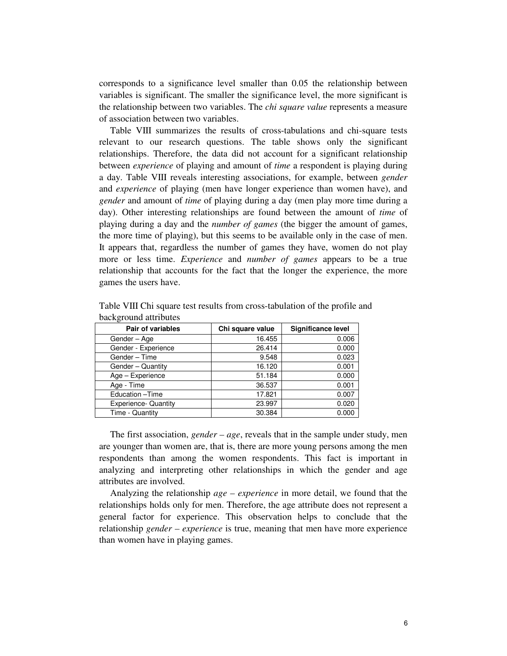corresponds to a significance level smaller than 0.05 the relationship between variables is significant. The smaller the significance level, the more significant is the relationship between two variables. The *chi square value* represents a measure of association between two variables.

Table VIII summarizes the results of cross-tabulations and chi-square tests relevant to our research questions. The table shows only the significant relationships. Therefore, the data did not account for a significant relationship between *experience* of playing and amount of *time* a respondent is playing during a day. Table VIII reveals interesting associations, for example, between *gender* and *experience* of playing (men have longer experience than women have), and *gender* and amount of *time* of playing during a day (men play more time during a day). Other interesting relationships are found between the amount of *time* of playing during a day and the *number of games* (the bigger the amount of games, the more time of playing), but this seems to be available only in the case of men. It appears that, regardless the number of games they have, women do not play more or less time. *Experience* and *number of games* appears to be a true relationship that accounts for the fact that the longer the experience, the more games the users have.

| Pair of variables           | Chi square value | Significance level |
|-----------------------------|------------------|--------------------|
| Gender - Age                | 16.455           | 0.006              |
| Gender - Experience         | 26.414           | 0.000              |
| Gender - Time               | 9.548            | 0.023              |
| Gender - Quantity           | 16.120           | 0.001              |
| Age - Experience            | 51.184           | 0.000              |
| Age - Time                  | 36.537           | 0.001              |
| Education - Time            | 17.821           | 0.007              |
| <b>Experience- Quantity</b> | 23.997           | 0.020              |
| Time - Quantity             | 30.384           | 0.000              |

Table VIII Chi square test results from cross-tabulation of the profile and background attributes

The first association, *gender* – *age*, reveals that in the sample under study, men are younger than women are, that is, there are more young persons among the men respondents than among the women respondents. This fact is important in analyzing and interpreting other relationships in which the gender and age attributes are involved.

Analyzing the relationship *age – experience* in more detail, we found that the relationships holds only for men. Therefore, the age attribute does not represent a general factor for experience. This observation helps to conclude that the relationship *gender – experience* is true, meaning that men have more experience than women have in playing games.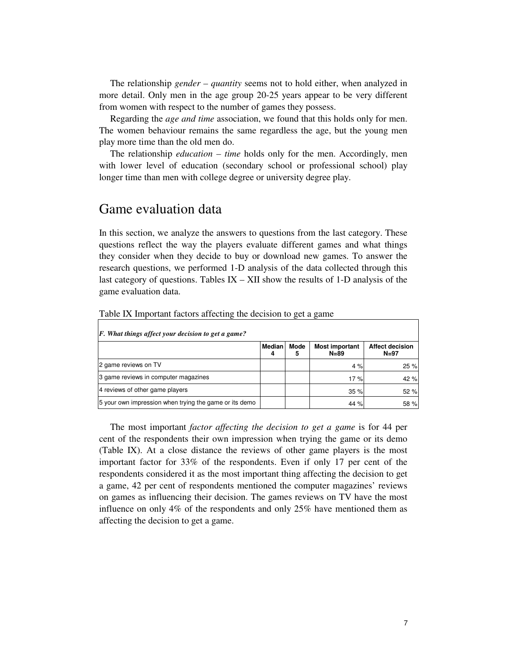The relationship *gender – quantity* seems not to hold either, when analyzed in more detail. Only men in the age group 20-25 years appear to be very different from women with respect to the number of games they possess.

Regarding the *age and time* association, we found that this holds only for men. The women behaviour remains the same regardless the age, but the young men play more time than the old men do.

The relationship *education – time* holds only for the men. Accordingly, men with lower level of education (secondary school or professional school) play longer time than men with college degree or university degree play.

### Game evaluation data

In this section, we analyze the answers to questions from the last category. These questions reflect the way the players evaluate different games and what things they consider when they decide to buy or download new games. To answer the research questions, we performed 1-D analysis of the data collected through this last category of questions. Tables  $IX - XII$  show the results of 1-D analysis of the game evaluation data.

| $ F $ . What things affect your decision to get a game? |                    |           |                                   |                                    |
|---------------------------------------------------------|--------------------|-----------|-----------------------------------|------------------------------------|
|                                                         | <b>Median</b><br>4 | Mode<br>5 | <b>Most important</b><br>$N = 89$ | <b>Affect decision</b><br>$N = 97$ |
| 2 game reviews on TV                                    |                    |           | 4%                                | 25%                                |
| 3 game reviews in computer magazines                    |                    |           | 17%                               | 42 %                               |
| 4 reviews of other game players                         |                    |           | 35 %                              | 52%                                |
| 5 your own impression when trying the game or its demo  |                    |           | 44 %                              | 58 %                               |

Table IX Important factors affecting the decision to get a game

The most important *factor affecting the decision to get a game* is for 44 per cent of the respondents their own impression when trying the game or its demo (Table IX). At a close distance the reviews of other game players is the most important factor for 33% of the respondents. Even if only 17 per cent of the respondents considered it as the most important thing affecting the decision to get a game, 42 per cent of respondents mentioned the computer magazines' reviews on games as influencing their decision. The games reviews on TV have the most influence on only 4% of the respondents and only 25% have mentioned them as affecting the decision to get a game.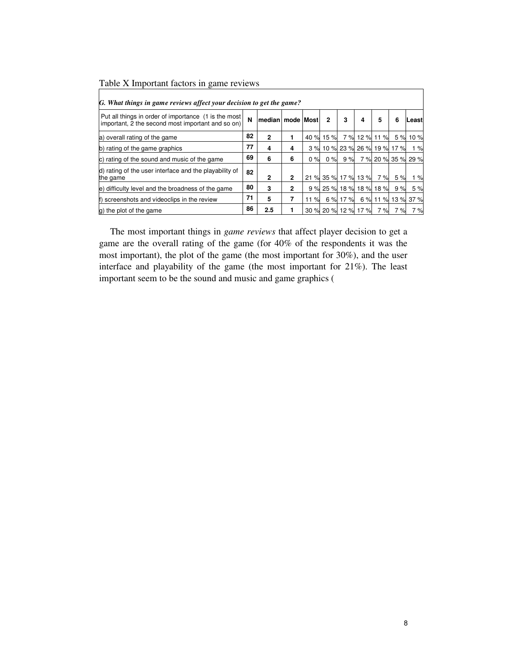| G. What things in game reviews affect your decision to get the game?                                      |    |                      |              |     |                |          |                          |               |     |          |
|-----------------------------------------------------------------------------------------------------------|----|----------------------|--------------|-----|----------------|----------|--------------------------|---------------|-----|----------|
| Put all things in order of importance (1 is the most<br>important, 2 the second most important and so on) | N  | Imedian Imode   Most |              |     | $\overline{2}$ | 3        | 4                        | 5             | 6   | Leastl   |
| a) overall rating of the game                                                                             | 82 | 2                    | 1            |     | 40 % 15 %      |          | 7 % 12 % 11 %            |               |     | 5 % 10 % |
| b) rating of the game graphics                                                                            | 77 | 4                    | 4            | 3%  |                |          | 10 % 23 % 26 % 19 % 17 % |               |     | 1%       |
| c) rating of the sound and music of the game                                                              | 69 | 6                    | 6            | 0%  | 0%             | 9%       |                          | 7 % 20 % 35 % |     | 29 %     |
| d) rating of the user interface and the playability of<br>the game                                        | 82 | 2                    | $\mathbf{2}$ |     |                |          | 21 % 35 % 17 % 13 %      | 7 %           | 5 % | 1%       |
| le) difficulty level and the broadness of the game                                                        | 80 | 3                    | $\mathbf{2}$ |     | 9% 25%         |          | 18 % 18 % 18 %           |               | 9%  | 5 %      |
| screenshots and videoclips in the review                                                                  | 71 | 5                    | 7            | 11% |                | 6 % 17 % |                          | 6 % 11 % 13 % |     | 37%      |
| g) the plot of the game                                                                                   | 86 | 2.5                  |              |     |                |          | 30 % 20 % 12 % 17 %      | 7 %           | 7 % | 7%       |

#### Table X Important factors in game reviews

The most important things in *game reviews* that affect player decision to get a game are the overall rating of the game (for 40% of the respondents it was the most important), the plot of the game (the most important for 30%), and the user interface and playability of the game (the most important for 21%). The least important seem to be the sound and music and game graphics (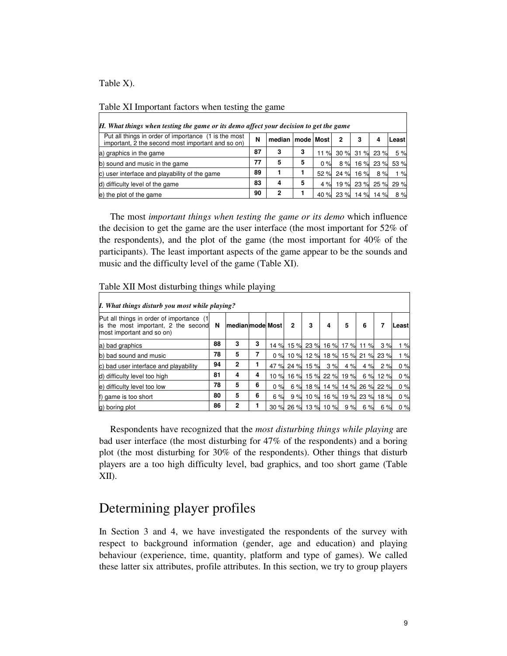Table X).

| H. What things when testing the game or its demo affect your decision to get the game                     |    |                      |   |            |      |                |           |        |  |
|-----------------------------------------------------------------------------------------------------------|----|----------------------|---|------------|------|----------------|-----------|--------|--|
| Put all things in order of importance (1 is the most<br>important, 2 the second most important and so on) | N  | median I mode   Most |   |            | 2    | 3              | 4         | Leastl |  |
| a) graphics in the game                                                                                   | 87 | 3                    | 3 | $\%$<br>11 |      | 30 % 31 % 23 % |           | 5 %    |  |
| b) sound and music in the game                                                                            | 77 | 5                    | 5 | $0\%$      | 8%   |                | 16 % 23 % | 53 %   |  |
| c) user interface and playability of the game                                                             | 89 |                      |   | 52 %       | 24%  | 16 %           | 8%        | %      |  |
| d) difficulty level of the game                                                                           | 83 | 4                    | 5 | 4%         | 19 % |                | 23 % 25 % | 29 %   |  |
| e) the plot of the game                                                                                   | 90 | 2                    |   | 40 %       | 23%  | 14%            | 14%       | 8%     |  |

Table XI Important factors when testing the game

The most *important things when testing the game or its demo* which influence the decision to get the game are the user interface (the most important for 52% of the respondents), and the plot of the game (the most important for 40% of the participants). The least important aspects of the game appear to be the sounds and music and the difficulty level of the game (Table XI).

| I. What things disturb you most while playing?                                                                |    |                           |   |        |                |                               |      |     |                |      |       |
|---------------------------------------------------------------------------------------------------------------|----|---------------------------|---|--------|----------------|-------------------------------|------|-----|----------------|------|-------|
| Put all things in order of importance (1)<br>is the most important, 2 the second<br>most important and so on) | N  | <b>Imedian model Most</b> |   |        | $\overline{2}$ | 3                             | 4    | 5   | 6              | 7    | Least |
| a) bad graphics                                                                                               | 88 | 3                         | 3 |        |                | 14 % 15 % 23 % 16 % 17 % 11 % |      |     |                | 3%   | 1%    |
| b) bad sound and music                                                                                        | 78 | 5                         | 7 | $0 \%$ |                | 10 % 12 % 18 %                |      |     | 15 % 21 % 23 % |      | 1%    |
| c) bad user interface and playability                                                                         | 94 | $\overline{2}$            | 1 |        |                | 47 % 24 % 15 %                | 3%   | 4%  | 4%             | 2%   | 0%    |
| d) difficulty level too high                                                                                  | 81 | 4                         | 4 | 10%    | 16 %           | 15 %                          | 22%  | 19% | 6%             | 12 % | 0%    |
| e) difficulty level too low                                                                                   | 78 | 5                         | 6 | 0%     |                | $6\%$ 18%                     | 14 % |     | 14 % 26 %      | 22%  | 0%    |
| f) game is too short                                                                                          | 80 | 5                         | 6 | 6%     |                | 9 % 10 % 16 %                 |      |     | 19 % 23 % 18 % |      | 0%    |
| g) boring plot                                                                                                | 86 | $\mathbf{2}$              |   |        |                | 30 % 26 % 13 %                | 10%  | 9%  | 6%             | 6%   | 0%    |

Table XII Most disturbing things while playing

Respondents have recognized that the *most disturbing things while playing* are bad user interface (the most disturbing for 47% of the respondents) and a boring plot (the most disturbing for 30% of the respondents). Other things that disturb players are a too high difficulty level, bad graphics, and too short game (Table XII).

## Determining player profiles

In Section 3 and 4, we have investigated the respondents of the survey with respect to background information (gender, age and education) and playing behaviour (experience, time, quantity, platform and type of games). We called these latter six attributes, profile attributes. In this section, we try to group players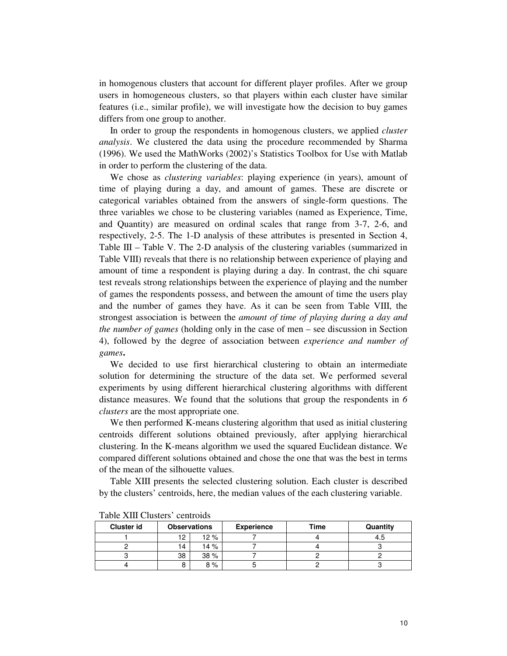in homogenous clusters that account for different player profiles. After we group users in homogeneous clusters, so that players within each cluster have similar features (i.e., similar profile), we will investigate how the decision to buy games differs from one group to another.

In order to group the respondents in homogenous clusters, we applied *cluster analysis*. We clustered the data using the procedure recommended by Sharma (1996). We used the MathWorks (2002)'s Statistics Toolbox for Use with Matlab in order to perform the clustering of the data.

We chose as *clustering variables*: playing experience (in years), amount of time of playing during a day, and amount of games. These are discrete or categorical variables obtained from the answers of single-form questions. The three variables we chose to be clustering variables (named as Experience, Time, and Quantity) are measured on ordinal scales that range from 3-7, 2-6, and respectively, 2-5. The 1-D analysis of these attributes is presented in Section 4, Table III – Table V. The 2-D analysis of the clustering variables (summarized in Table VIII) reveals that there is no relationship between experience of playing and amount of time a respondent is playing during a day. In contrast, the chi square test reveals strong relationships between the experience of playing and the number of games the respondents possess, and between the amount of time the users play and the number of games they have. As it can be seen from Table VIII, the strongest association is between the *amount of time of playing during a day and the number of games* (holding only in the case of men – see discussion in Section 4), followed by the degree of association between *experience and number of games***.**

We decided to use first hierarchical clustering to obtain an intermediate solution for determining the structure of the data set. We performed several experiments by using different hierarchical clustering algorithms with different distance measures. We found that the solutions that group the respondents in *6 clusters* are the most appropriate one.

We then performed K-means clustering algorithm that used as initial clustering centroids different solutions obtained previously, after applying hierarchical clustering. In the K-means algorithm we used the squared Euclidean distance. We compared different solutions obtained and chose the one that was the best in terms of the mean of the silhouette values.

Table XIII presents the selected clustering solution. Each cluster is described by the clusters' centroids, here, the median values of the each clustering variable.

| Cluster id | <b>Observations</b> |      | <b>Experience</b> | Time | Quantity |
|------------|---------------------|------|-------------------|------|----------|
|            | 12                  | 12%  |                   |      | 4.5      |
|            | 14                  | 14 % |                   |      |          |
|            | 38                  | 38%  |                   |      |          |
|            |                     | 8%   |                   |      |          |

Table XIII Clusters' centroids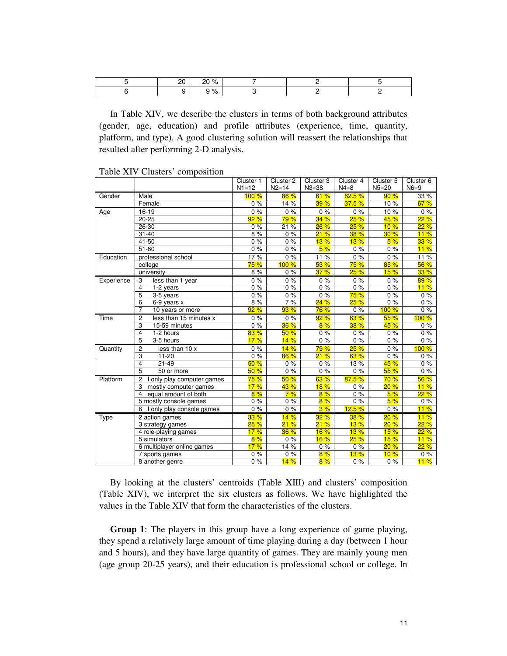| oc<br>- | $\Omega$ |  |  |
|---------|----------|--|--|
|         | $\Omega$ |  |  |

In Table XIV, we describe the clusters in terms of both background attributes (gender, age, education) and profile attributes (experience, time, quantity, platform, and type). A good clustering solution will reassert the relationships that resulted after performing 2-D analysis.

|            |                                          | Cluster 1        | Cluster 2        | Cluster 3   | Cluster 4   | Cluster 5 | Cluster 6         |
|------------|------------------------------------------|------------------|------------------|-------------|-------------|-----------|-------------------|
|            |                                          | $N1 = 12$        | $N2 = 14$        | $N3 = 38$   | $N4 = 8$    | $N5 = 20$ | $N6=9$            |
| Gender     | Male                                     | 100%             | 86%              | 61%         | $62.5\%$    | $90\%$    | 33%               |
|            | Female                                   | 0%               | 14%              | 39%         | 37.5%       | 10%       | 67%               |
| Age        | 16-19                                    | 0%               | 0%               | 0%          | 0%          | 10%       | $0\%$             |
|            | $20 - 25$                                | 92%              | 79%              | 34%         | 25%         | 45 %      | 22%               |
|            | 26-30                                    | 0%               | 21 %             | $26\%$      | 25%         | 10%       | $22\%$            |
|            | $31 - 40$                                | 8%               | 0%               | 21%         | 38%         | $30\%$    | 11%               |
|            | $41 - 50$                                | 0%               | $0\%$            | 13%         | 13%         | 5%        | 33%               |
|            | $51 - 60$                                | $0\%$            | 0%               | 5%          | 0%          | $0\%$     | 11%               |
| Education  | professional school                      | 17%              | $\overline{0\%}$ | 11%         | 0%          | $0\%$     | 11 %              |
|            | college                                  | 75%              | 100 %            | 53%         | 75 %        | 85%       | 56%               |
|            | university                               | 8%               | 0%               | 37%         | 25%         | 15%       | $33\%$            |
| Experience | 3<br>less than 1 year                    | 0%               | 0%               | $0\%$       | 0%          | 0%        | <mark>89 %</mark> |
|            | $\overline{4}$<br>$1-2$ years            | 0%               | $0\%$            | 0%          | 0%          | 0%        | 11%               |
|            | 5<br>3-5 years                           | 0%               | $0\%$            | 0%          | 75 %        | 0%        | $0\%$             |
|            | $\overline{6}$<br>6-9 years x            | 8%               | 7%               | 24%         | 25%         | $0\%$     | $0\%$             |
|            | $\overline{7}$<br>10 years or more       | 92%              | 93%              | 76%         | 0%          | 100 %     | 0%                |
| Time       | $\overline{c}$<br>less than 15 minutes x | 0%               | 0%               | 92%         | 63 %        | 55%       | 100 %             |
|            | 3<br>15-59 minutes                       | 0%               | $36\%$           | 8%          | 38%         | 45%       | $0\%$             |
|            | 4<br>1-2 hours                           | 83%              | 50%              | $0\%$       | 0%          | $0\%$     | $0\%$             |
|            | $\overline{5}$<br>3-5 hours              | 17%              | 14%              | 0%          | 0%          | $0\%$     | 0%                |
| Quantity   | $\overline{2}$<br>less than 10 x         | 0%               | 14%              | <b>79 %</b> | 25%         | $0\%$     | 100%              |
|            | 3<br>$11 - 20$                           | 0%               | 86%              | 21%         | 63%         | 0%        | $0\%$             |
|            | $\overline{4}$<br>$21 - 49$              | $50\%$           | 0%               | 0%          | 13%         | 45 %      | $0\%$             |
|            | 5<br>$\overline{50}$ or more             | 50%              | 0%               | $0\%$       | $0\%$       | 55%       | $0\%$             |
| Platform   | 2<br>I only play computer games          | 75%              | 50%              | 63%         | 87.5%       | 70%       | 56%               |
|            | 3 mostly computer games                  | 17%              | 43 %             | 18 %        | 0%          | 20%       | 11%               |
|            | $\overline{4}$<br>equal amount of both   | 8%               | 7%               | 8%          | 0%          | 5%        | 22%               |
|            | 5 mostly console games                   | 0%               | 0%               | 8%          | 0%          | 5%        | $0\%$             |
|            | I only play console games<br>6           | $\overline{0\%}$ | 0%               | 3%          | 12.5%       | $0\%$     | 11%               |
| Type       | 2 action games                           | 33%              | 14%              | 32%         | <b>38 %</b> | 20%       | 11%               |
|            | 3 strategy games                         | 25%              | 21%              | 21%         | 13%         | 20%       | $22\%$            |
|            | 4 role-playing games                     | 17%              | $36\%$           | 16%         | 13%         | 15%       | $22\ \%$          |
|            | 5 simulators                             | 8%               | 0%               | 16 %        | 25%         | 15%       | 11%               |
|            | 6 multiplayer online games               | 17%              | 14%              | $0\%$       | 0%          | 20%       | $22\%$            |
|            | 7 sports games                           | $0\%$            | $0\%$            | 8%          | 13%         | $10\%$    | $0\%$             |
|            | 8 another genre                          | $0\%$            | 14%              | 8%          | 0%          | $0\%$     | 11%               |

Table XIV Clusters' composition

By looking at the clusters' centroids (Table XIII) and clusters' composition (Table XIV), we interpret the six clusters as follows. We have highlighted the values in the Table XIV that form the characteristics of the clusters.

**Group 1**: The players in this group have a long experience of game playing, they spend a relatively large amount of time playing during a day (between 1 hour and 5 hours), and they have large quantity of games. They are mainly young men (age group 20-25 years), and their education is professional school or college. In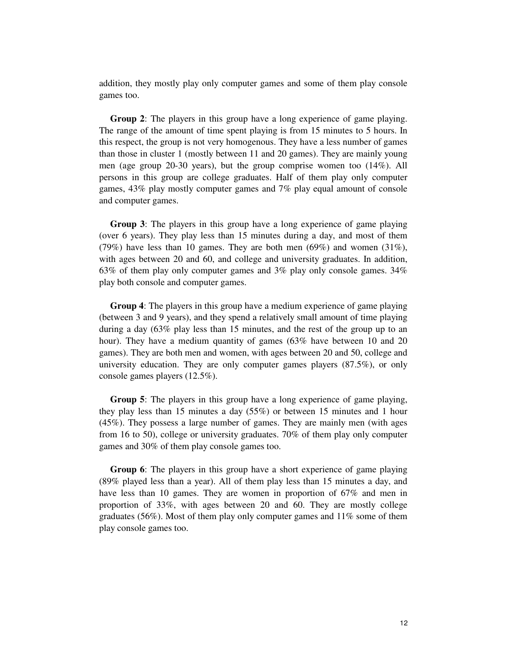addition, they mostly play only computer games and some of them play console games too.

**Group 2**: The players in this group have a long experience of game playing. The range of the amount of time spent playing is from 15 minutes to 5 hours. In this respect, the group is not very homogenous. They have a less number of games than those in cluster 1 (mostly between 11 and 20 games). They are mainly young men (age group 20-30 years), but the group comprise women too (14%). All persons in this group are college graduates. Half of them play only computer games, 43% play mostly computer games and 7% play equal amount of console and computer games.

**Group 3**: The players in this group have a long experience of game playing (over 6 years). They play less than 15 minutes during a day, and most of them (79%) have less than 10 games. They are both men  $(69\%)$  and women  $(31\%)$ , with ages between 20 and 60, and college and university graduates. In addition, 63% of them play only computer games and 3% play only console games. 34% play both console and computer games.

**Group 4**: The players in this group have a medium experience of game playing (between 3 and 9 years), and they spend a relatively small amount of time playing during a day (63% play less than 15 minutes, and the rest of the group up to an hour). They have a medium quantity of games (63% have between 10 and 20 games). They are both men and women, with ages between 20 and 50, college and university education. They are only computer games players (87.5%), or only console games players (12.5%).

**Group 5**: The players in this group have a long experience of game playing, they play less than 15 minutes a day (55%) or between 15 minutes and 1 hour (45%). They possess a large number of games. They are mainly men (with ages from 16 to 50), college or university graduates. 70% of them play only computer games and 30% of them play console games too.

**Group 6**: The players in this group have a short experience of game playing (89% played less than a year). All of them play less than 15 minutes a day, and have less than 10 games. They are women in proportion of 67% and men in proportion of 33%, with ages between 20 and 60. They are mostly college graduates (56%). Most of them play only computer games and 11% some of them play console games too.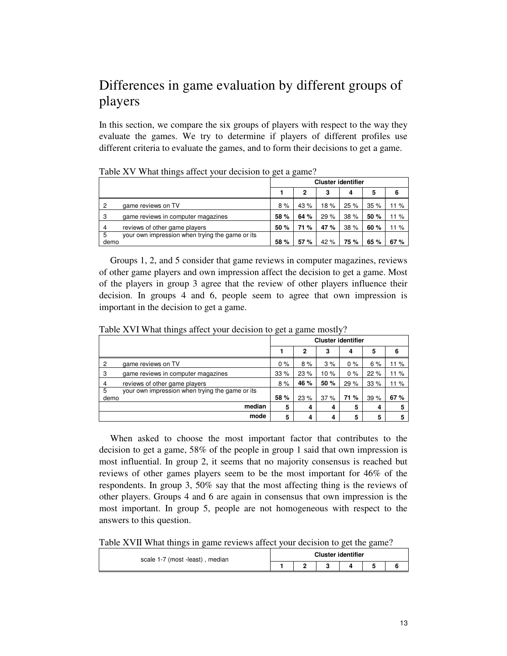## Differences in game evaluation by different groups of players

In this section, we compare the six groups of players with respect to the way they evaluate the games. We try to determine if players of different profiles use different criteria to evaluate the games, and to form their decisions to get a game.

|           |                                                 | <b>Cluster identifier</b> |      |      |      |      |      |
|-----------|-------------------------------------------------|---------------------------|------|------|------|------|------|
|           |                                                 |                           | 2    | 3    | 4    | 5    | 6    |
| 2         | game reviews on TV                              | 8%                        | 43 % | 18%  | 25%  | 35%  | 11 % |
| 3         | game reviews in computer magazines              | 58 %                      | 64 % | 29%  | 38%  | 50 % | 11 % |
| 4         | reviews of other game players                   | 50 %                      | 71 % | 47 % | 38%  | 60 % | 11 % |
| 5<br>demo | your own impression when trying the game or its | 58 %                      | 57%  | 42%  | 75 % | 65 % | 67%  |

Table XV What things affect your decision to get a game?

Groups 1, 2, and 5 consider that game reviews in computer magazines, reviews of other game players and own impression affect the decision to get a game. Most of the players in group 3 agree that the review of other players influence their decision. In groups 4 and 6, people seem to agree that own impression is important in the decision to get a game.

|           |                                                 | <b>Cluster identifier</b> |      |      |      |      |      |
|-----------|-------------------------------------------------|---------------------------|------|------|------|------|------|
|           |                                                 |                           | 2    | 3    | 4    | 5    | 6    |
| 2         | game reviews on TV                              | 0%                        | 8%   | 3%   | 0%   | 6%   | 11 % |
| 3         | game reviews in computer magazines              | 33%                       | 23%  | 10%  | 0%   | 22 % | 11 % |
| 4         | reviews of other game players                   | 8%                        | 46 % | 50 % | 29 % | 33%  | 11 % |
| 5<br>demo | your own impression when trying the game or its | 58 %                      | 23 % | 37%  | 71 % | 39 % | 67%  |
|           | median                                          | 5                         | 4    | 4    | 5    | 4    | 5    |
|           | mode                                            | 5                         | 4    | 4    | 5    | 5    | 5    |

Table XVI What things affect your decision to get a game mostly?

When asked to choose the most important factor that contributes to the decision to get a game, 58% of the people in group 1 said that own impression is most influential. In group 2, it seems that no majority consensus is reached but reviews of other games players seem to be the most important for 46% of the respondents. In group 3, 50% say that the most affecting thing is the reviews of other players. Groups 4 and 6 are again in consensus that own impression is the most important. In group 5, people are not homogeneous with respect to the answers to this question.

Table XVII What things in game reviews affect your decision to get the game?

| scale 1-7 (most -least), median | <b>Cluster identifier</b> |  |  |                        |  |  |  |  |
|---------------------------------|---------------------------|--|--|------------------------|--|--|--|--|
|                                 |                           |  |  | $\boldsymbol{\Lambda}$ |  |  |  |  |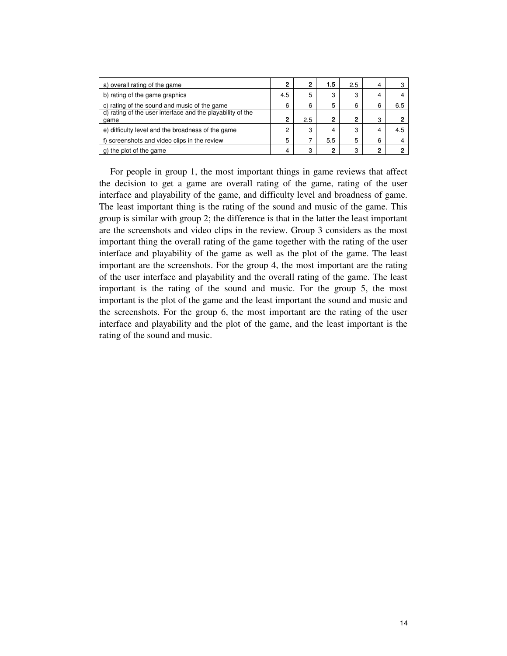| a) overall rating of the game                                      | $\mathbf{2}$ | 2   | 1.5 | 2.5            | 4            | 3   |
|--------------------------------------------------------------------|--------------|-----|-----|----------------|--------------|-----|
| b) rating of the game graphics                                     | 4.5          | 5   | 3   | 3              | 4            | 4   |
| c) rating of the sound and music of the game                       | 6            | 6   | 5   | 6              | 6            | 6.5 |
| d) rating of the user interface and the playability of the<br>game | 2            | 2.5 | 2   | $\overline{2}$ | 3            | 2   |
| e) difficulty level and the broadness of the game                  | 2            | 3   | 4   | 3              | -4           | 4.5 |
| f) screenshots and video clips in the review                       | 5            |     | 5.5 | 5              | 6            | 4   |
| g) the plot of the game                                            |              | 3   | 2   | 3              | $\mathbf{2}$ |     |

For people in group 1, the most important things in game reviews that affect the decision to get a game are overall rating of the game, rating of the user interface and playability of the game, and difficulty level and broadness of game. The least important thing is the rating of the sound and music of the game. This group is similar with group 2; the difference is that in the latter the least important are the screenshots and video clips in the review. Group 3 considers as the most important thing the overall rating of the game together with the rating of the user interface and playability of the game as well as the plot of the game. The least important are the screenshots. For the group 4, the most important are the rating of the user interface and playability and the overall rating of the game. The least important is the rating of the sound and music. For the group 5, the most important is the plot of the game and the least important the sound and music and the screenshots. For the group 6, the most important are the rating of the user interface and playability and the plot of the game, and the least important is the rating of the sound and music.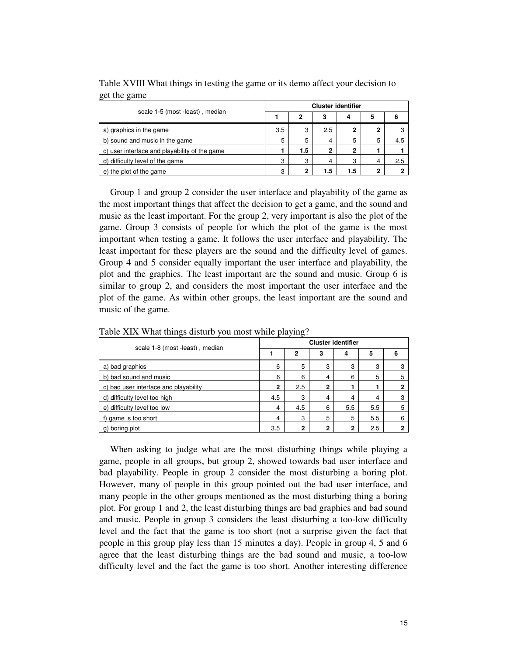| scale 1-5 (most -least), median               |     | <b>Cluster identifier</b> |                |     |   |     |  |  |  |
|-----------------------------------------------|-----|---------------------------|----------------|-----|---|-----|--|--|--|
|                                               |     |                           | 3              | 4   | 5 |     |  |  |  |
| a) graphics in the game                       | 3.5 | 3                         | 2.5            | 2   |   |     |  |  |  |
| b) sound and music in the game                | 5   | 5                         | $\overline{4}$ | 5   | 5 | 4.5 |  |  |  |
| c) user interface and playability of the game |     | 1.5                       | 2              | 2   |   |     |  |  |  |
| d) difficulty level of the game               | 3   | 3                         | 4              | 3   | 4 | 2.5 |  |  |  |
| e) the plot of the game                       | 3   | 2                         | 1.5            | 1.5 |   |     |  |  |  |

Table XVIII What things in testing the game or its demo affect your decision to get the game

Group 1 and group 2 consider the user interface and playability of the game as the most important things that affect the decision to get a game, and the sound and music as the least important. For the group 2, very important is also the plot of the game. Group 3 consists of people for which the plot of the game is the most important when testing a game. It follows the user interface and playability. The least important for these players are the sound and the difficulty level of games. Group 4 and 5 consider equally important the user interface and playability, the plot and the graphics. The least important are the sound and music. Group 6 is similar to group 2, and considers the most important the user interface and the plot of the game. As within other groups, the least important are the sound and music of the game.

| scale 1-8 (most -least), median       |     | <b>Cluster identifier</b> |              |     |     |   |  |  |  |  |
|---------------------------------------|-----|---------------------------|--------------|-----|-----|---|--|--|--|--|
|                                       |     | 2                         | 3            | 4   | 5   | 6 |  |  |  |  |
| a) bad graphics                       | 6   | 5                         | 3            | 3   | 3   |   |  |  |  |  |
| b) bad sound and music                | 6   | 6                         | 4            | 6   | 5   |   |  |  |  |  |
| c) bad user interface and playability | 2   | 2.5                       | $\mathbf{2}$ |     |     | o |  |  |  |  |
| d) difficulty level too high          | 4.5 | 3                         | 4            | 4   | 4   |   |  |  |  |  |
| e) difficulty level too low           | 4   | 4.5                       | 6            | 5.5 | 5.5 |   |  |  |  |  |
| f) game is too short                  | 4   | 3                         | 5            | 5   | 5.5 | 6 |  |  |  |  |
| g) boring plot                        | 3.5 | ◠                         | ◠            | ≘   | 2.5 |   |  |  |  |  |

Table XIX What things disturb you most while playing?

When asking to judge what are the most disturbing things while playing a game, people in all groups, but group 2, showed towards bad user interface and bad playability. People in group 2 consider the most disturbing a boring plot. However, many of people in this group pointed out the bad user interface, and many people in the other groups mentioned as the most disturbing thing a boring plot. For group 1 and 2, the least disturbing things are bad graphics and bad sound and music. People in group 3 considers the least disturbing a too-low difficulty level and the fact that the game is too short (not a surprise given the fact that people in this group play less than 15 minutes a day). People in group 4, 5 and 6 agree that the least disturbing things are the bad sound and music, a too-low difficulty level and the fact the game is too short. Another interesting difference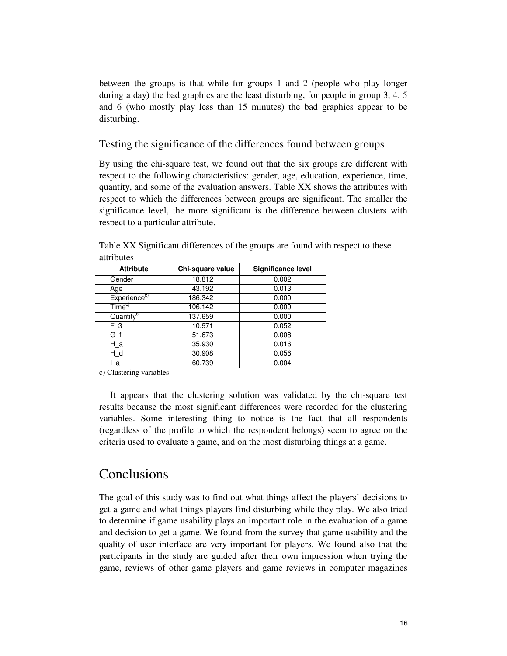between the groups is that while for groups 1 and 2 (people who play longer during a day) the bad graphics are the least disturbing, for people in group 3, 4, 5 and 6 (who mostly play less than 15 minutes) the bad graphics appear to be disturbing.

#### Testing the significance of the differences found between groups

By using the chi-square test, we found out that the six groups are different with respect to the following characteristics: gender, age, education, experience, time, quantity, and some of the evaluation answers. Table XX shows the attributes with respect to which the differences between groups are significant. The smaller the significance level, the more significant is the difference between clusters with respect to a particular attribute.

| <b>Attribute</b>            | Chi-square value | Significance level |
|-----------------------------|------------------|--------------------|
| Gender                      | 18.812           | 0.002              |
| Age                         | 43.192           | 0.013              |
| Experience <sup>c)</sup>    | 186.342          | 0.000              |
| $\mathsf{Time}^\mathsf{c)}$ | 106.142          | 0.000              |
| Quantity <sup>c)</sup>      | 137.659          | 0.000              |
| F_3                         | 10.971           | 0.052              |
| G_f                         | 51.673           | 0.008              |
| На                          | 35.930           | 0.016              |
| Нd                          | 30.908           | 0.056              |
| a                           | 60.739           | 0.004              |

Table XX Significant differences of the groups are found with respect to these attributes

c) Clustering variables

It appears that the clustering solution was validated by the chi-square test results because the most significant differences were recorded for the clustering variables. Some interesting thing to notice is the fact that all respondents (regardless of the profile to which the respondent belongs) seem to agree on the criteria used to evaluate a game, and on the most disturbing things at a game.

### Conclusions

The goal of this study was to find out what things affect the players' decisions to get a game and what things players find disturbing while they play. We also tried to determine if game usability plays an important role in the evaluation of a game and decision to get a game. We found from the survey that game usability and the quality of user interface are very important for players. We found also that the participants in the study are guided after their own impression when trying the game, reviews of other game players and game reviews in computer magazines